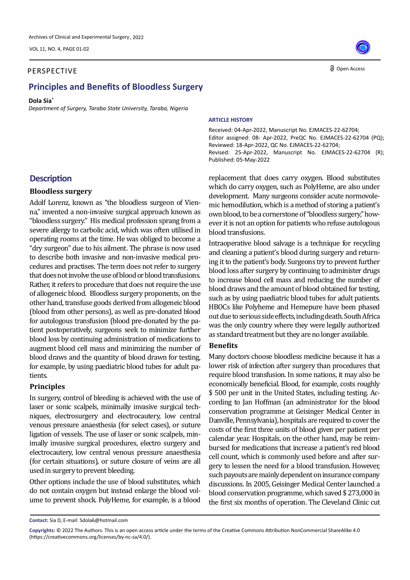VOL 11, NO. 4, PAGE 01-02

#### **Oxidants and Antioxidants and Antioxidants and Antioxidants in Medical Science, 2022 Open Access** PERSPECTIVE

# **Principles and Benefits of Bloodless Surgery**

#### **Dola Sia\***

*Department of Surgery, Taraba State University, Taraba, Nigeria*

#### **ARTICLE HISTORY**

Received: 04-Apr-2022, Manuscript No. EJMACES-22-62704; Editor assigned: 08- Apr-2022, PreQC No. EJMACES-22-62704 (PQ); Reviewed: 18-Apr-2022, QC No. EJMACES-22-62704; Revised: 25-Apr-2022, Manuscript No. EJMACES-22-62704 (R); Published: 05-May-2022

replacement that does carry oxygen. Blood substitutes which do carry oxygen, such as PolyHeme, are also under development. Many surgeons consider acute normovolemic hemodilution, which is a method of storing a patient's own blood, to be a cornerstone of "bloodless surgery," however it is not an option for patients who refuse autologous blood transfusions.

Intraoperative blood salvage is a technique for recycling and cleaning a patient's blood during surgery and returning it to the patient's body. Surgeons try to prevent further blood loss after surgery by continuing to administer drugs to increase blood cell mass and reducing the number of blood draws and the amount of blood obtained for testing, such as by using paediatric blood tubes for adult patients. HBOCs like Polyheme and Hemepure have been phased out due to serious side effects, including death. South Africa was the only country where they were legally authorized as standard treatment but they are no longer available.

### **Benefits**

Many doctors choose bloodless medicine because it has a lower risk of infection after surgery than procedures that require blood transfusion. In some nations, it may also be economically beneficial. Blood, for example, costs roughly \$ 500 per unit in the United States, including testing. According to Jan Hoffman (an administrator for the blood conservation programme at Geisinger Medical Center in Danville, Pennsylvania), hospitals are required to cover the costs of the first three units of blood given per patient per calendar year. Hospitals, on the other hand, may be reimbursed for medications that increase a patient's red blood cell count, which is commonly used before and after surgery to lessen the need for a blood transfusion. However, such payouts are mainly dependent on insurance company discussions. In 2005, Geisinger Medical Center launched a blood conservation programme, which saved \$ 273,000 in the first six months of operation. The Cleveland Clinic cut

## **Description**

#### **Bloodless surgery**

Adolf Lorenz, known as "the bloodless surgeon of Vienna," invented a non-invasive surgical approach known as "bloodless surgery." His medical profession sprang from a severe allergy to carbolic acid, which was often utilised in operating rooms at the time. He was obliged to become a "dry surgeon" due to his ailment. The phrase is now used to describe both invasive and non-invasive medical procedures and practises. The term does not refer to surgery that does not involve the use of blood or blood transfusions. Rather, it refers to procedure that does not require the use of allogeneic blood. Bloodless surgery proponents, on the other hand, transfuse goods derived from allogeneic blood (blood from other persons), as well as pre-donated blood for autologous transfusion (blood pre-donated by the patient postoperatively, surgeons seek to minimize further blood loss by continuing administration of medications to augment blood cell mass and minimizing the number of blood draws and the quantity of blood drawn for testing, for example, by using paediatric blood tubes for adult patients.

### **Principles**

In surgery, control of bleeding is achieved with the use of laser or sonic scalpels, minimally invasive surgical techniques, electrosurgery and electrocautery, low central venous pressure anaesthesia (for select cases), or suture ligation of vessels. The use of laser or sonic scalpels, minimally invasive surgical procedures, electro surgery and electrocautery, low central venous pressure anaesthesia (for certain situations), or suture closure of veins are all used in surgery to prevent bleeding.

Other options include the use of blood substitutes, which do not contain oxygen but instead enlarge the blood volume to prevent shock. PolyHeme, for example, is a blood

**Contact:** Sia D, E-mail: Sdola6@hotmail.com

**Copyrights:** © 2022 The Authors. This is an open access article under the terms of the Creative Commons Attribution NonCommercial ShareAlike 4.0 (https://creativecommons.org/licenses/by-nc-sa/4.0/).